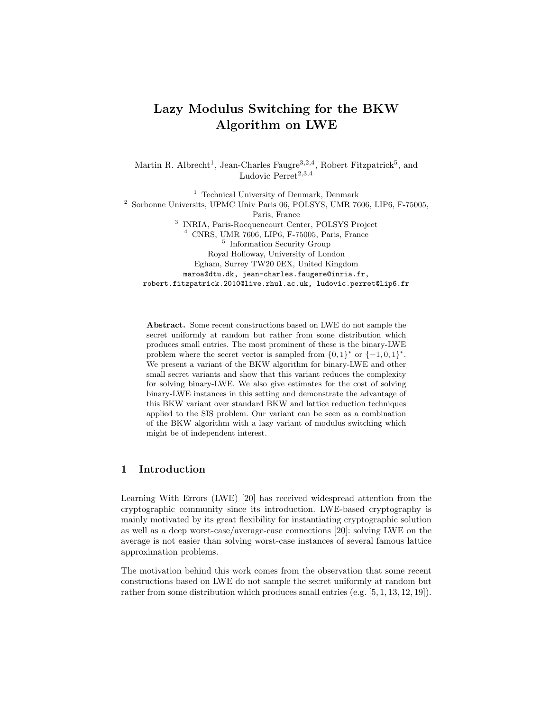# Lazy Modulus Switching for the BKW Algorithm on LWE

Martin R. Albrecht<sup>1</sup>, Jean-Charles Faugre<sup>3,2,4</sup>, Robert Fitzpatrick<sup>5</sup>, and Ludovic Perret<sup>2,3,4</sup>

<sup>1</sup> Technical University of Denmark, Denmark <sup>2</sup> Sorbonne Universits, UPMC Univ Paris 06, POLSYS, UMR 7606, LIP6, F-75005, Paris, France 3 INRIA, Paris-Rocquencourt Center, POLSYS Project <sup>4</sup> CNRS, UMR 7606, LIP6, F-75005, Paris, France 5 Information Security Group Royal Holloway, University of London Egham, Surrey TW20 0EX, United Kingdom maroa@dtu.dk, jean-charles.faugere@inria.fr, robert.fitzpatrick.2010@live.rhul.ac.uk, ludovic.perret@lip6.fr

Abstract. Some recent constructions based on LWE do not sample the secret uniformly at random but rather from some distribution which produces small entries. The most prominent of these is the binary-LWE problem where the secret vector is sampled from  $\{0,1\}^*$  or  $\{-1,0,1\}^*$ . We present a variant of the BKW algorithm for binary-LWE and other small secret variants and show that this variant reduces the complexity for solving binary-LWE. We also give estimates for the cost of solving binary-LWE instances in this setting and demonstrate the advantage of this BKW variant over standard BKW and lattice reduction techniques applied to the SIS problem. Our variant can be seen as a combination of the BKW algorithm with a lazy variant of modulus switching which might be of independent interest.

# 1 Introduction

Learning With Errors (LWE) [20] has received widespread attention from the cryptographic community since its introduction. LWE-based cryptography is mainly motivated by its great flexibility for instantiating cryptographic solution as well as a deep worst-case/average-case connections [20]: solving LWE on the average is not easier than solving worst-case instances of several famous lattice approximation problems.

The motivation behind this work comes from the observation that some recent constructions based on LWE do not sample the secret uniformly at random but rather from some distribution which produces small entries (e.g. [5, 1, 13, 12, 19]).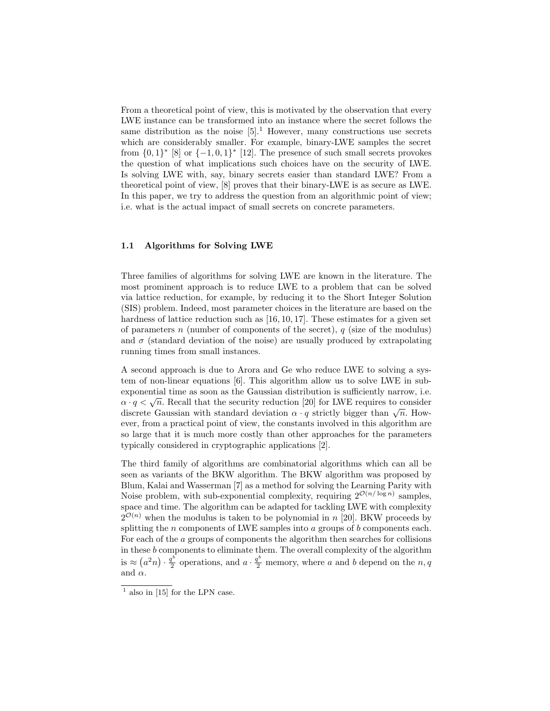From a theoretical point of view, this is motivated by the observation that every LWE instance can be transformed into an instance where the secret follows the same distribution as the noise  $[5]$ .<sup>1</sup> However, many constructions use secrets which are considerably smaller. For example, binary-LWE samples the secret from  $\{0,1\}^*$  [8] or  $\{-1,0,1\}^*$  [12]. The presence of such small secrets provokes the question of what implications such choices have on the security of LWE. Is solving LWE with, say, binary secrets easier than standard LWE? From a theoretical point of view, [8] proves that their binary-LWE is as secure as LWE. In this paper, we try to address the question from an algorithmic point of view; i.e. what is the actual impact of small secrets on concrete parameters.

#### 1.1 Algorithms for Solving LWE

Three families of algorithms for solving LWE are known in the literature. The most prominent approach is to reduce LWE to a problem that can be solved via lattice reduction, for example, by reducing it to the Short Integer Solution (SIS) problem. Indeed, most parameter choices in the literature are based on the hardness of lattice reduction such as [16, 10, 17]. These estimates for a given set of parameters n (number of components of the secret),  $q$  (size of the modulus) and  $\sigma$  (standard deviation of the noise) are usually produced by extrapolating running times from small instances.

A second approach is due to Arora and Ge who reduce LWE to solving a system of non-linear equations [6]. This algorithm allow us to solve LWE in subexponential time as soon as the Gaussian distribution is sufficiently narrow, i.e. exponential time as soon as the Gaussian distribution is sufficiently harrow, i.e.  $\alpha \cdot q < \sqrt{n}$ . Recall that the security reduction [20] for LWE requires to consider  $\alpha \cdot q \leq \sqrt{n}$ . Recall that the security reduction [20] for EWE requires to consider discrete Gaussian with standard deviation  $\alpha \cdot q$  strictly bigger than  $\sqrt{n}$ . However, from a practical point of view, the constants involved in this algorithm are so large that it is much more costly than other approaches for the parameters typically considered in cryptographic applications [2].

The third family of algorithms are combinatorial algorithms which can all be seen as variants of the BKW algorithm. The BKW algorithm was proposed by Blum, Kalai and Wasserman [7] as a method for solving the Learning Parity with Noise problem, with sub-exponential complexity, requiring  $2^{\mathcal{O}(n/\log n)}$  samples, space and time. The algorithm can be adapted for tackling LWE with complexity  $2^{\mathcal{O}(n)}$  when the modulus is taken to be polynomial in n [20]. BKW proceeds by splitting the  $n$  components of LWE samples into  $a$  groups of  $b$  components each. For each of the a groups of components the algorithm then searches for collisions in these b components to eliminate them. The overall complexity of the algorithm is  $\approx (a^2 n) \cdot \frac{q^b}{2}$  $a^b$  operations, and  $a \cdot \frac{q^b}{2}$  memory, where a and b depend on the  $n, q$ and  $\alpha$ .

 $<sup>1</sup>$  also in [15] for the LPN case.</sup>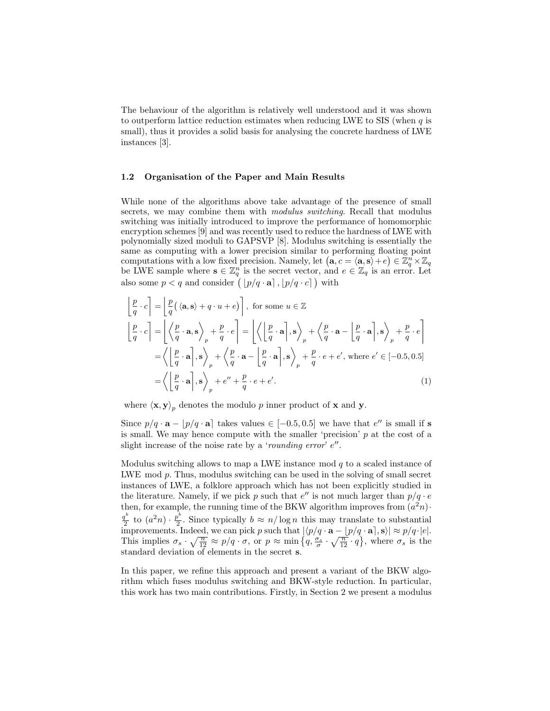The behaviour of the algorithm is relatively well understood and it was shown to outperform lattice reduction estimates when reducing LWE to SIS (when  $q$  is small), thus it provides a solid basis for analysing the concrete hardness of LWE instances [3].

#### 1.2 Organisation of the Paper and Main Results

While none of the algorithms above take advantage of the presence of small secrets, we may combine them with *modulus switching*. Recall that modulus switching was initially introduced to improve the performance of homomorphic encryption schemes [9] and was recently used to reduce the hardness of LWE with polynomially sized moduli to GAPSVP [8]. Modulus switching is essentially the same as computing with a lower precision similar to performing floating point computations with a low fixed precision. Namely, let  $(\mathbf{a}, c = \langle \mathbf{a}, \mathbf{s} \rangle + e) \in \mathbb{Z}_q^n \times \mathbb{Z}_q$ be LWE sample where  $\mathbf{s} \in \mathbb{Z}_q^n$  is the secret vector, and  $e \in \mathbb{Z}_q$  is an error. Let also some  $p < q$  and consider  $(\vert p/q \cdot a \vert, \vert p/q \cdot c \vert)$  with

$$
\begin{aligned}\n\left[\frac{p}{q} \cdot c\right] &= \left[\frac{p}{q}(\langle \mathbf{a}, \mathbf{s} \rangle + q \cdot u + e)\right], \text{ for some } u \in \mathbb{Z} \\
\left[\frac{p}{q} \cdot c\right] &= \left[\left\langle \frac{p}{q} \cdot \mathbf{a}, \mathbf{s} \right\rangle_p + \frac{p}{q} \cdot e\right] = \left[\left\langle \left[\frac{p}{q} \cdot \mathbf{a}\right], \mathbf{s} \right\rangle_p + \left\langle \frac{p}{q} \cdot \mathbf{a} - \left[\frac{p}{q} \cdot \mathbf{a}\right], \mathbf{s} \right\rangle_p + \frac{p}{q} \cdot e\right] \\
&= \left\langle \left[\frac{p}{q} \cdot \mathbf{a}\right], \mathbf{s} \right\rangle_p + \left\langle \frac{p}{q} \cdot \mathbf{a} - \left[\frac{p}{q} \cdot \mathbf{a}\right], \mathbf{s} \right\rangle_p + \frac{p}{q} \cdot e + e', \text{ where } e' \in [-0.5, 0.5] \\
&= \left\langle \left[\frac{p}{q} \cdot \mathbf{a}\right], \mathbf{s} \right\rangle_p + e'' + \frac{p}{q} \cdot e + e'.\n\end{aligned}
$$
\n(1)

where  $\langle \mathbf{x}, \mathbf{y} \rangle_p$  denotes the modulo p inner product of **x** and **y**.

Since  $p/q \cdot a - |p/q \cdot a|$  takes values  $\in [-0.5, 0.5]$  we have that e'' is small if s is small. We may hence compute with the smaller 'precision'  $p$  at the cost of a slight increase of the noise rate by a 'rounding error'  $e''$ .

Modulus switching allows to map a LWE instance mod  $q$  to a scaled instance of LWE mod p. Thus, modulus switching can be used in the solving of small secret instances of LWE, a folklore approach which has not been explicitly studied in the literature. Namely, if we pick p such that  $e''$  is not much larger than  $p/q \cdot e$ then, for example, the running time of the BKW algorithm improves from  $(a^2n)$ . q b  $\frac{p^b}{2}$  to  $(a^2n)\cdot \frac{p^b}{2}$  $\frac{p^2}{2}$ . Since typically  $b \approx n/\log n$  this may translate to substantial improvements. Indeed, we can pick p such that  $|\langle p/q \cdot \mathbf{a} - [p/q \cdot \mathbf{a}], \mathbf{s} \rangle| \approx p/q \cdot |e|$ . This implies  $\sigma_s \cdot \sqrt{\frac{n}{12}} \approx p/q \cdot \sigma$ , or  $p \approx \min\left\{q, \frac{\sigma_s}{\sigma} \cdot \sqrt{\frac{n}{12}} \cdot q\right\}$ , where  $\sigma_s$  is the standard deviation of elements in the secret s.

In this paper, we refine this approach and present a variant of the BKW algorithm which fuses modulus switching and BKW-style reduction. In particular, this work has two main contributions. Firstly, in Section 2 we present a modulus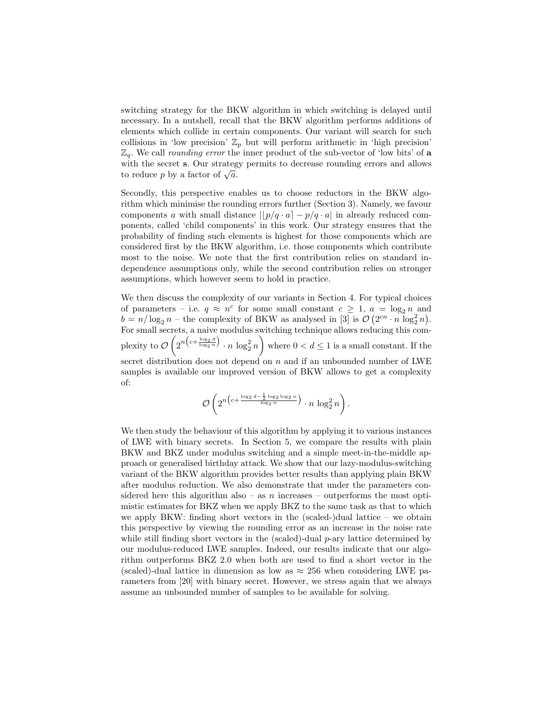switching strategy for the BKW algorithm in which switching is delayed until necessary. In a nutshell, recall that the BKW algorithm performs additions of elements which collide in certain components. Our variant will search for such collisions in 'low precision'  $\mathbb{Z}_p$  but will perform arithmetic in 'high precision'  $\mathbb{Z}_q$ . We call *rounding error* the inner product of the sub-vector of 'low bits' of a with the secret s. Our strategy permits to decrease rounding errors and allows with the secret **s**. Our strateg<br>to reduce p by a factor of  $\sqrt{a}$ .

Secondly, this perspective enables us to choose reductors in the BKW algorithm which minimise the rounding errors further (Section 3). Namely, we favour components a with small distance  $||p/q \cdot a| - p/q \cdot a|$  in already reduced components, called 'child components' in this work. Our strategy ensures that the probability of finding such elements is highest for those components which are considered first by the BKW algorithm, i.e. those components which contribute most to the noise. We note that the first contribution relies on standard independence assumptions only, while the second contribution relies on stronger assumptions, which however seem to hold in practice.

We then discuss the complexity of our variants in Section 4. For typical choices of parameters – i.e.  $q \approx n^c$  for some small constant  $c \geq 1$ ,  $a = \log_2 n$  and  $b = n/\log_2 n$  – the complexity of BKW as analysed in [3] is  $\mathcal{O}(2^{cn} \cdot n \log_2^2 n)$ . For small secrets, a naive modulus switching technique allows reducing this complexity to  $\mathcal{O}\left(2^{n\left(c+\frac{\log_2 d}{\log_2 n}\right)}\cdot n \log_2^2 n\right)$  where  $0 < d \leq 1$  is a small constant. If the secret distribution does not depend on n and if an unbounded number of LWE samples is available our improved version of BKW allows to get a complexity of:

$$
\mathcal{O}\left(2^{n\left(c+\frac{\log_2 d - \frac{1}{2}\log_2\log_2 n}{\log_2 n}\right)}\cdot n\,\log_2^2 n\right).
$$

We then study the behaviour of this algorithm by applying it to various instances of LWE with binary secrets. In Section 5, we compare the results with plain BKW and BKZ under modulus switching and a simple meet-in-the-middle approach or generalised birthday attack. We show that our lazy-modulus-switching variant of the BKW algorithm provides better results than applying plain BKW after modulus reduction. We also demonstrate that under the parameters considered here this algorithm also – as n increases – outperforms the most optimistic estimates for BKZ when we apply BKZ to the same task as that to which we apply BKW: finding short vectors in the (scaled-)dual lattice – we obtain this perspective by viewing the rounding error as an increase in the noise rate while still finding short vectors in the (scaled)-dual  $p$ -ary lattice determined by our modulus-reduced LWE samples. Indeed, our results indicate that our algorithm outperforms BKZ 2.0 when both are used to find a short vector in the (scaled)-dual lattice in dimension as low as  $\approx 256$  when considering LWE parameters from [20] with binary secret. However, we stress again that we always assume an unbounded number of samples to be available for solving.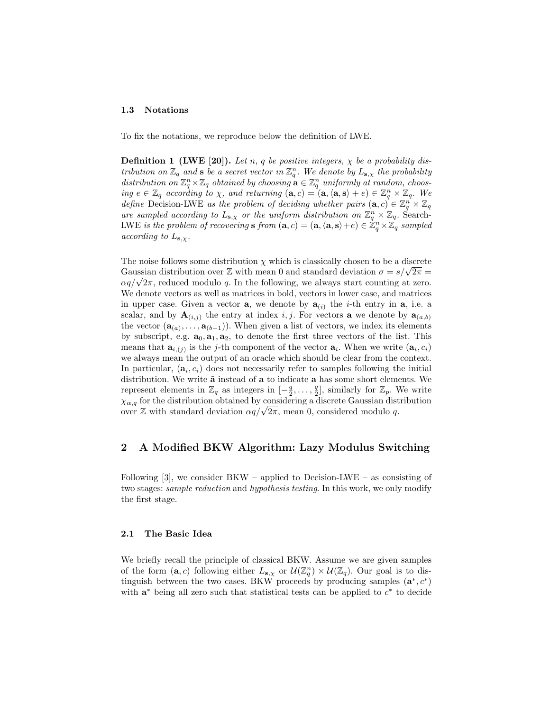#### 1.3 Notations

To fix the notations, we reproduce below the definition of LWE.

**Definition 1 (LWE [20]).** Let n, q be positive integers,  $\chi$  be a probability distribution on  $\mathbb{Z}_q$  and s be a secret vector in  $\mathbb{Z}_q^n$ . We denote by  $L_{\mathbf{s},\chi}$  the probability distribution on  $\mathbb{Z}_q^n\times\mathbb{Z}_q$  obtained by choosing  $\mathbf{a}\in\mathbb{Z}_q^n$  uniformly at random, choosing  $e \in \mathbb{Z}_q$  according to  $\chi$ , and returning  $(\mathbf{a}, c) = (\mathbf{a}, \langle \mathbf{a}, \mathbf{s} \rangle + e) \in \mathbb{Z}_q^n \times \mathbb{Z}_q$ . We define Decision-LWE as the problem of deciding whether pairs  $(\mathbf{a}, c) \in \mathbb{Z}_q^n \times \mathbb{Z}_q$ are sampled according to  $L_{s,x}$  or the uniform distribution on  $\mathbb{Z}_q^n \times \mathbb{Z}_q$ . Search-LWE is the problem of recovering  $\mathbf{s}$  from  $(\mathbf{a}, c) = (\mathbf{a}, \langle \mathbf{a}, \mathbf{s}\rangle + e) \in \mathbb{Z}_q^n \times \mathbb{Z}_q$  sampled according to  $L_{\mathbf{s},\chi}$ .

The noise follows some distribution  $\chi$  which is classically chosen to be a discrete The noise follows some distribution  $\chi$  which is classically chosen to be a discrete Gaussian distribution over  $\mathbb Z$  with mean 0 and standard deviation  $\sigma = s/\sqrt{2\pi} =$ Gaussian distribution over  $\mathbb Z$  with mean 0 and standard deviation  $\sigma = s/\sqrt{2\pi} = \alpha q/\sqrt{2\pi}$ , reduced modulo q. In the following, we always start counting at zero. We denote vectors as well as matrices in bold, vectors in lower case, and matrices in upper case. Given a vector **a**, we denote by  $a_{(i)}$  the *i*-th entry in **a**, i.e. a scalar, and by  $\mathbf{A}_{(i,j)}$  the entry at index i, j. For vectors **a** we denote by  $\mathbf{a}_{(a,b)}$ the vector  $(\mathbf{a}_{(a)}, \ldots, \mathbf{a}_{(b-1)})$ . When given a list of vectors, we index its elements by subscript, e.g.  $\mathbf{a}_0, \mathbf{a}_1, \mathbf{a}_2$ , to denote the first three vectors of the list. This means that  $\mathbf{a}_{i,(j)}$  is the j-th component of the vector  $\mathbf{a}_i$ . When we write  $(\mathbf{a}_i, c_i)$ we always mean the output of an oracle which should be clear from the context. In particular,  $(a_i, c_i)$  does not necessarily refer to samples following the initial distribution. We write  $\tilde{a}$  instead of  $a$  to indicate  $a$  has some short elements. We represent elements in  $\mathbb{Z}_q$  as integers in  $[-\frac{q}{2}, \ldots, \frac{q}{2}]$ , similarly for  $\mathbb{Z}_p$ . We write  $\chi_{\alpha,q}$  for the distribution obtained by considering a discrete Gaussian distribution  $\chi_{\alpha,q}$  for the distribution obtained by considering a discrete Gaussian distover  $\mathbb Z$  with standard deviation  $\alpha q/\sqrt{2\pi}$ , mean 0, considered modulo q.

### 2 A Modified BKW Algorithm: Lazy Modulus Switching

Following  $[3]$ , we consider BKW – applied to Decision-LWE – as consisting of two stages: sample reduction and hypothesis testing. In this work, we only modify the first stage.

#### 2.1 The Basic Idea

We briefly recall the principle of classical BKW. Assume we are given samples of the form  $(a, c)$  following either  $L_{s,x}$  or  $\mathcal{U}(\mathbb{Z}_q^n) \times \mathcal{U}(\mathbb{Z}_q)$ . Our goal is to distinguish between the two cases. BKW proceeds by producing samples  $(\mathbf{a}^*, c^*)$ with  $a^*$  being all zero such that statistical tests can be applied to  $c^*$  to decide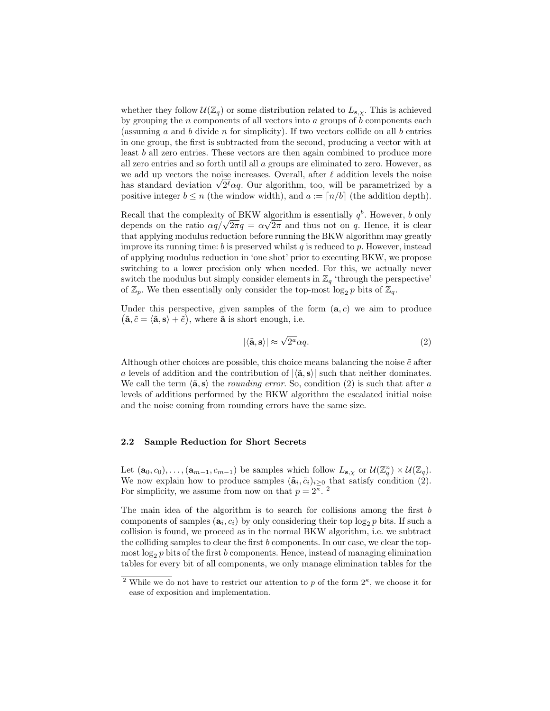whether they follow  $\mathcal{U}(\mathbb{Z}_q)$  or some distribution related to  $L_{s,x}$ . This is achieved by grouping the  $n$  components of all vectors into  $a$  groups of  $b$  components each (assuming a and b divide n for simplicity). If two vectors collide on all b entries in one group, the first is subtracted from the second, producing a vector with at least b all zero entries. These vectors are then again combined to produce more all zero entries and so forth until all a groups are eliminated to zero. However, as we add up vectors the noise increases. Overall, after  $\ell$  addition levels the noise we add up vectors the noise increases. Overall, after  $\ell$  addition levels the noise<br>has standard deviation  $\sqrt{2^{\ell}}\alpha q$ . Our algorithm, too, will be parametrized by a positive integer  $b \le n$  (the window width), and  $a := [n/b]$  (the addition depth).

Recall that the complexity of BKW algorithm is essentially  $q^b$ . However, b only depends on the ratio  $\alpha q / \sqrt{2\pi q} = \alpha \sqrt{2\pi}$  and thus not on q. Hence, it is clear that applying modulus reduction before running the BKW algorithm may greatly improve its running time:  $b$  is preserved whilst  $q$  is reduced to  $p$ . However, instead of applying modulus reduction in 'one shot' prior to executing BKW, we propose switching to a lower precision only when needed. For this, we actually never switch the modulus but simply consider elements in  $\mathbb{Z}_q$  'through the perspective' of  $\mathbb{Z}_p$ . We then essentially only consider the top-most  $\log_2 p$  bits of  $\mathbb{Z}_q$ .

Under this perspective, given samples of the form  $(a, c)$  we aim to produce  $(\tilde{\mathbf{a}}, \tilde{c} = \langle \tilde{\mathbf{a}}, \mathbf{s} \rangle + \tilde{e}),$  where  $\tilde{\mathbf{a}}$  is short enough, i.e.

$$
|\langle \tilde{\mathbf{a}}, \mathbf{s} \rangle| \approx \sqrt{2^a} \alpha q. \tag{2}
$$

Although other choices are possible, this choice means balancing the noise  $\tilde{e}$  after a levels of addition and the contribution of  $|\langle \tilde{\mathbf{a}}, \mathbf{s} \rangle|$  such that neither dominates. We call the term  $\langle \tilde{\mathbf{a}}, \mathbf{s} \rangle$  the *rounding error*. So, condition (2) is such that after a levels of additions performed by the BKW algorithm the escalated initial noise and the noise coming from rounding errors have the same size.

#### 2.2 Sample Reduction for Short Secrets

Let  $(\mathbf{a}_0, c_0), \ldots, (\mathbf{a}_{m-1}, c_{m-1})$  be samples which follow  $L_{\mathbf{s}, \chi}$  or  $\mathcal{U}(\mathbb{Z}_q^n) \times \mathcal{U}(\mathbb{Z}_q)$ . We now explain how to produce samples  $(\tilde{\mathbf{a}}_i, \tilde{c}_i)_{i \geq 0}$  that satisfy condition (2). For simplicity, we assume from now on that  $p = 2<sup>\kappa</sup>$ .

The main idea of the algorithm is to search for collisions among the first  $b$ components of samples  $(a_i, c_i)$  by only considering their top  $\log_2 p$  bits. If such a collision is found, we proceed as in the normal BKW algorithm, i.e. we subtract the colliding samples to clear the first  $b$  components. In our case, we clear the topmost  $\log_2 p$  bits of the first b components. Hence, instead of managing elimination tables for every bit of all components, we only manage elimination tables for the

<sup>&</sup>lt;sup>2</sup> While we do not have to restrict our attention to p of the form  $2^{\kappa}$ , we choose it for ease of exposition and implementation.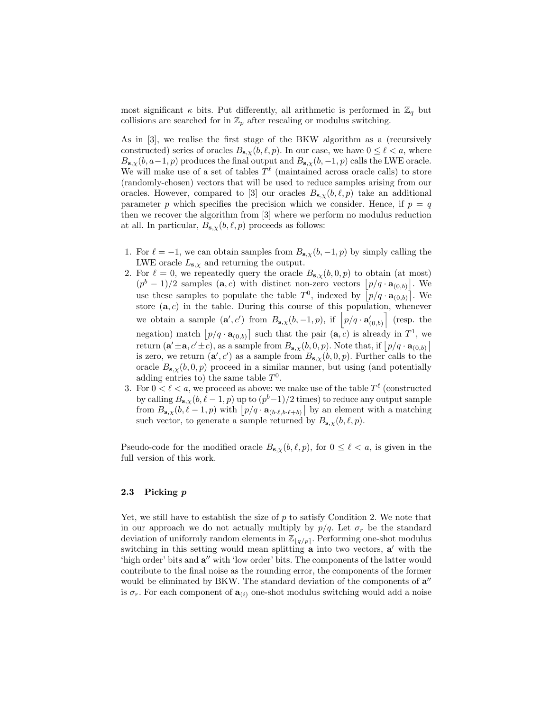most significant  $\kappa$  bits. Put differently, all arithmetic is performed in  $\mathbb{Z}_q$  but collisions are searched for in  $\mathbb{Z}_p$  after rescaling or modulus switching.

As in [3], we realise the first stage of the BKW algorithm as a (recursively constructed) series of oracles  $B_{s,x}(b, \ell, p)$ . In our case, we have  $0 \leq \ell < a$ , where  $B_{s,x}(b, a-1, p)$  produces the final output and  $B_{s,x}(b, -1, p)$  calls the LWE oracle. We will make use of a set of tables  $T^{\ell}$  (maintained across oracle calls) to store (randomly-chosen) vectors that will be used to reduce samples arising from our oracles. However, compared to [3] our oracles  $B_{s,x}(b, \ell, p)$  take an additional parameter p which specifies the precision which we consider. Hence, if  $p = q$ then we recover the algorithm from [3] where we perform no modulus reduction at all. In particular,  $B_{s,\chi}(b,\ell, p)$  proceeds as follows:

- 1. For  $\ell = -1$ , we can obtain samples from  $B_{s,x}(b, -1, p)$  by simply calling the LWE oracle  $L_{\mathbf{s},\chi}$  and returning the output.
- 2. For  $\ell = 0$ , we repeatedly query the oracle  $B_{s,x}(b, 0, p)$  to obtain (at most)  $(p^{b} - 1)/2$  samples  $(a, c)$  with distinct non-zero vectors  $[p/q \cdot a_{(0,b)}]$ . We use these samples to populate the table  $T^0$ , indexed by  $[p/q \cdot \mathbf{a}_{(0,b)}]$ . We store  $(a, c)$  in the table. During this course of this population, whenever we obtain a sample  $(\mathbf{a}', c')$  from  $B_{\mathbf{s}, \chi}(b, -1, p)$ , if  $\left[p/q \cdot \mathbf{a}'_{(0,b)}\right]$  (resp. the negation) match  $[p/q \cdot \mathbf{a}_{(0,b)}]$  such that the pair  $(\mathbf{a}, c)$  is already in  $T^1$ , we return  $(a' \pm a, c' \pm c)$ , as a sample from  $B_{s,\chi}(b, 0, p)$ . Note that, if  $\left\lfloor p/q \cdot a_{(0,b)} \right\rfloor$ is zero, we return  $(\mathbf{a}', c')$  as a sample from  $B_{\mathbf{s}, \chi}(b, 0, p)$ . Further calls to the oracle  $B_{s,x}(b, 0, p)$  proceed in a similar manner, but using (and potentially adding entries to) the same table  $T^0$ .
- 3. For  $0 < \ell < a$ , we proceed as above: we make use of the table  $T^{\ell}$  (constructed by calling  $B_{s,\chi}(b, \ell-1, p)$  up to  $(p<sup>b</sup>-1)/2$  times) to reduce any output sample from  $B_{s,\chi}(b, \ell - 1, p)$  with  $\left[ p/q \cdot a_{(b \cdot \ell,b \cdot \ell + b)} \right]$  by an element with a matching such vector, to generate a sample returned by  $B_{\mathbf{s},\chi}(b,\ell,p)$ .

Pseudo-code for the modified oracle  $B_{s,\chi}(b,\ell,p)$ , for  $0 \leq \ell < a$ , is given in the full version of this work.

#### 2.3 Picking p

Yet, we still have to establish the size of  $p$  to satisfy Condition 2. We note that in our approach we do not actually multiply by  $p/q$ . Let  $\sigma_r$  be the standard deviation of uniformly random elements in  $\mathbb{Z}_{q/p}$ . Performing one-shot modulus switching in this setting would mean splitting  $\bf{a}$  into two vectors,  $\bf{a}'$  with the 'high order' bits and  $a''$  with 'low order' bits. The components of the latter would contribute to the final noise as the rounding error, the components of the former would be eliminated by BKW. The standard deviation of the components of  $a''$ is  $\sigma_r$ . For each component of  $\mathbf{a}_{(i)}$  one-shot modulus switching would add a noise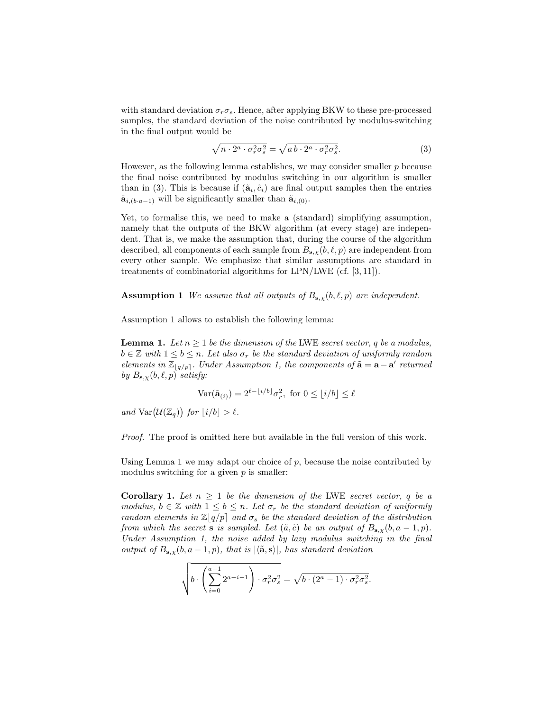with standard deviation  $\sigma_r \sigma_s$ . Hence, after applying BKW to these pre-processed samples, the standard deviation of the noise contributed by modulus-switching in the final output would be

$$
\sqrt{n \cdot 2^a \cdot \sigma_r^2 \sigma_s^2} = \sqrt{ab \cdot 2^a \cdot \sigma_r^2 \sigma_s^2}.
$$
\n(3)

However, as the following lemma establishes, we may consider smaller  $p$  because the final noise contributed by modulus switching in our algorithm is smaller than in (3). This is because if  $(\tilde{\mathbf{a}}_i, \tilde{c}_i)$  are final output samples then the entries  $\tilde{\mathbf{a}}_{i,(b\cdot a-1)}$  will be significantly smaller than  $\tilde{\mathbf{a}}_{i,(0)}$ .

Yet, to formalise this, we need to make a (standard) simplifying assumption, namely that the outputs of the BKW algorithm (at every stage) are independent. That is, we make the assumption that, during the course of the algorithm described, all components of each sample from  $B_{s,x}(b, \ell, p)$  are independent from every other sample. We emphasize that similar assumptions are standard in treatments of combinatorial algorithms for LPN/LWE (cf. [3, 11]).

**Assumption 1** We assume that all outputs of  $B_{s,x}(b, \ell, p)$  are independent.

Assumption 1 allows to establish the following lemma:

**Lemma 1.** Let  $n \geq 1$  be the dimension of the LWE secret vector, q be a modulus,  $b \in \mathbb{Z}$  with  $1 \leq b \leq n$ . Let also  $\sigma_r$  be the standard deviation of uniformly random elements in  $\mathbb{Z}_{q/p}$ . Under Assumption 1, the components of  $\tilde{\mathbf{a}} = \mathbf{a} - \mathbf{a}'$  returned by  $B_{\mathbf{s}, \chi}(b, \ell, p)$  satisfy:

$$
\text{Var}(\tilde{\mathbf{a}}_{(i)}) = 2^{\ell - \lfloor i/b \rfloor} \sigma_r^2, \text{ for } 0 \le \lfloor i/b \rfloor \le \ell
$$

and  $\text{Var}(\mathcal{U}(\mathbb{Z}_q))$  for  $\lfloor i/b \rfloor > l$ .

Proof. The proof is omitted here but available in the full version of this work.

Using Lemma 1 we may adapt our choice of  $p$ , because the noise contributed by modulus switching for a given  $p$  is smaller:

**Corollary 1.** Let  $n \geq 1$  be the dimension of the LWE secret vector, q be a modulus,  $b \in \mathbb{Z}$  with  $1 \leq b \leq n$ . Let  $\sigma_r$  be the standard deviation of uniformly random elements in  $\mathbb{Z}[q/p]$  and  $\sigma_s$  be the standard deviation of the distribution from which the secret **s** is sampled. Let  $(\tilde{a}, \tilde{c})$  be an output of  $B_{s,x}(b, a-1, p)$ . Under Assumption 1, the noise added by lazy modulus switching in the final output of  $B_{s,x}(b, a-1, p)$ , that is  $|\langle \tilde{\mathbf{a}}, s \rangle|$ , has standard deviation

$$
\sqrt{b \cdot \left(\sum_{i=0}^{a-1} 2^{a-i-1}\right) \cdot \sigma_r^2 \sigma_s^2} = \sqrt{b \cdot (2^a - 1) \cdot \sigma_r^2 \sigma_s^2}.
$$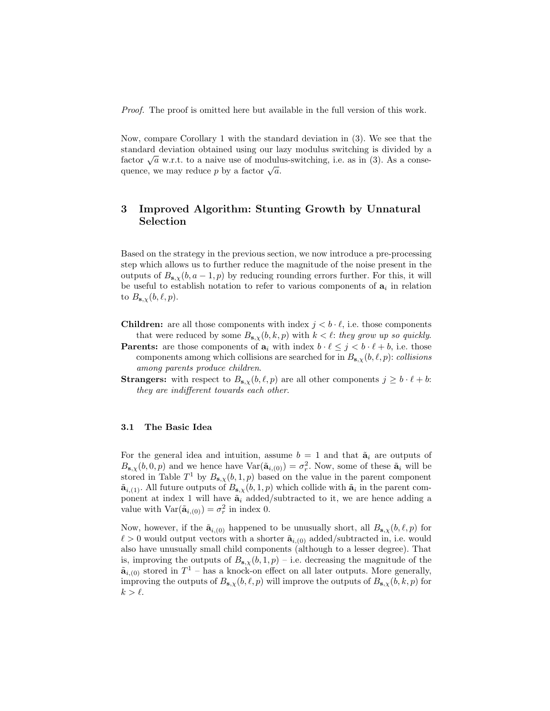Proof. The proof is omitted here but available in the full version of this work.

Now, compare Corollary 1 with the standard deviation in (3). We see that the standard deviation obtained using our lazy modulus switching is divided by a standard deviation obtained using our lazy modulus switching is divided by a factor  $\sqrt{a}$  w.r.t. to a naive use of modulus-switching, i.e. as in (3). As a conseractor  $\sqrt{a}$  w.r.t. to a narve use of moduli<br>quence, we may reduce p by a factor  $\sqrt{a}$ .

# 3 Improved Algorithm: Stunting Growth by Unnatural Selection

Based on the strategy in the previous section, we now introduce a pre-processing step which allows us to further reduce the magnitude of the noise present in the outputs of  $B_{s,x}(b, a-1, p)$  by reducing rounding errors further. For this, it will be useful to establish notation to refer to various components of  $a_i$  in relation to  $B_{\mathbf{s},\chi}(b,\ell, p)$ .

- **Children:** are all those components with index  $j < b \cdot \ell$ , i.e. those components that were reduced by some  $B_{s,x}(b, k, p)$  with  $k < \ell$ : they grow up so quickly.
- **Parents:** are those components of  $a_i$  with index  $b \cdot \ell \leq j < b \cdot \ell + b$ , i.e. those components among which collisions are searched for in  $B_{s,x}(b, \ell, p)$ : collisions among parents produce children.
- **Strangers:** with respect to  $B_{s,\chi}(b,\ell,p)$  are all other components  $j \geq b \cdot \ell + b$ : they are indifferent towards each other.

#### 3.1 The Basic Idea

For the general idea and intuition, assume  $b = 1$  and that  $\tilde{a}_i$  are outputs of  $B_{s,\chi}(b,0,p)$  and we hence have  $\text{Var}(\tilde{\mathbf{a}}_{i,(0)}) = \sigma_r^2$ . Now, some of these  $\tilde{\mathbf{a}}_i$  will be stored in Table  $T^1$  by  $B_{s,\chi}(b,1,p)$  based on the value in the parent component  $\tilde{\mathbf{a}}_{i,(1)}$ . All future outputs of  $B_{\mathbf{s},\chi}(b,1,p)$  which collide with  $\tilde{\mathbf{a}}_i$  in the parent component at index 1 will have  $\tilde{a}_i$  added/subtracted to it, we are hence adding a value with  $\text{Var}(\tilde{\mathbf{a}}_{i,(0)}) = \sigma_r^2$  in index 0.

Now, however, if the  $\tilde{\mathbf{a}}_{i,(0)}$  happened to be unusually short, all  $B_{\mathbf{s},\chi}(b,\ell,p)$  for  $\ell > 0$  would output vectors with a shorter  $\tilde{\mathbf{a}}_{i,(0)}$  added/subtracted in, i.e. would also have unusually small child components (although to a lesser degree). That is, improving the outputs of  $B_{s,x}(b,1,p)$  – i.e. decreasing the magnitude of the  $\tilde{\mathbf{a}}_{i,(0)}$  stored in  $T^1$  – has a knock-on effect on all later outputs. More generally, improving the outputs of  $B_{s,\chi}(b, \ell, p)$  will improve the outputs of  $B_{s,\chi}(b, k, p)$  for  $k > \ell$ .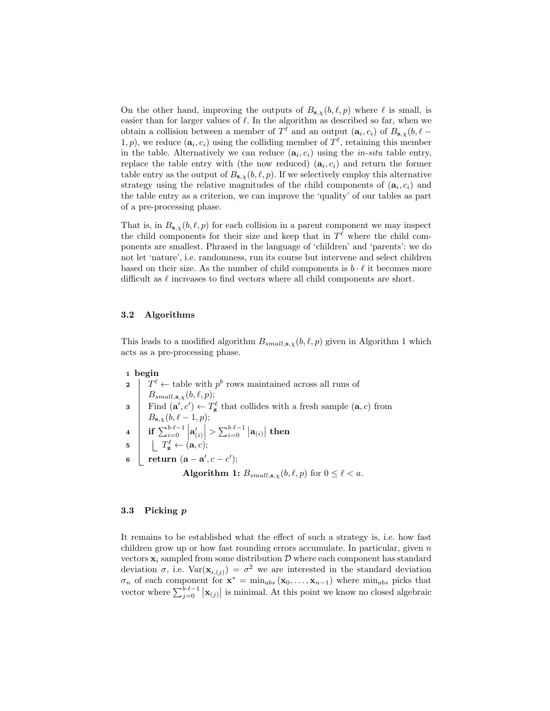On the other hand, improving the outputs of  $B_{s,x}(b, \ell, p)$  where  $\ell$  is small, is easier than for larger values of  $\ell$ . In the algorithm as described so far, when we obtain a collision between a member of  $T^{\ell}$  and an output  $(\mathbf{a}_i, c_i)$  of  $B_{\mathbf{s}, \chi}(b, \ell -$ 1, p), we reduce  $(\mathbf{a}_i, c_i)$  using the colliding member of  $T^{\ell}$ , retaining this member in the table. Alternatively we can reduce  $(a_i, c_i)$  using the *in-situ* table entry, replace the table entry with (the now reduced)  $(a_i, c_i)$  and return the former table entry as the output of  $B_{s,x}(b, \ell, p)$ . If we selectively employ this alternative strategy using the relative magnitudes of the child components of  $(a_i, c_i)$  and the table entry as a criterion, we can improve the 'quality' of our tables as part of a pre-processing phase.

That is, in  $B_{s,x}(b, \ell, p)$  for each collision in a parent component we may inspect the child components for their size and keep that in  $T^{\ell}$  where the child components are smallest. Phrased in the language of 'children' and 'parents': we do not let 'nature', i.e. randomness, run its course but intervene and select children based on their size. As the number of child components is  $b \cdot \ell$  it becomes more difficult as  $\ell$  increases to find vectors where all child components are short.

#### 3.2 Algorithms

This leads to a modified algorithm  $B_{small,s,x}(b, \ell, p)$  given in Algorithm 1 which acts as a pre-processing phase.

| 1 begin                                                                                                                                                                                                                                                                                                                                                                                               |
|-------------------------------------------------------------------------------------------------------------------------------------------------------------------------------------------------------------------------------------------------------------------------------------------------------------------------------------------------------------------------------------------------------|
| 2 $T^{\ell} \leftarrow$ table with $p^{b}$ rows maintained across all runs of<br>$B_{small,s,\chi}(b,\ell,p);$                                                                                                                                                                                                                                                                                        |
|                                                                                                                                                                                                                                                                                                                                                                                                       |
| $\begin{array}{c}\n\mathbf{B}_{small,\mathbf{s},\chi}(b,\ell,p);\n\end{array}\n\quad \text{Find } (\mathbf{a}',c') \leftarrow T_{\mathbf{z}}^{\ell} \text{ that collides with a fresh sample } (\mathbf{a},c) \text{ from } \mathbf{z} \text{ and } \mathbf{z} \text{ and } \mathbf{z} \text{ and } \mathbf{z} \text{ are the same.}$                                                                 |
| $B_{\mathbf{s},\chi}(b,\ell-1,p);$                                                                                                                                                                                                                                                                                                                                                                    |
| $\mathtt{4}\left \begin{array}{c} B_{\mathbf{S},\chi}(b,\ell-1,p), \ \ \text{if}\ \sum_{i=0}^{b\cdot\ell-1}\left \mathbf{a}^{\prime}_{(i)}\right  > \sum_{i=0}^{b\cdot\ell-1}\left \mathbf{a}_{(i)}\right \ \text{then} \ \mathbf{5}\left \begin{array}{c} T_{\mathbf{z}}^{\ell}\leftarrow(\mathbf{a},c); \ \ \text{return }(\mathbf{a}-\mathbf{a}^{\prime},c-c^{\prime}); \end{array}\right.\right.$ |
|                                                                                                                                                                                                                                                                                                                                                                                                       |
|                                                                                                                                                                                                                                                                                                                                                                                                       |
| <b>Algorithm 1:</b> $B_{small,s,\chi}(b,\ell,p)$ for $0 \leq \ell < a$ .                                                                                                                                                                                                                                                                                                                              |

#### 3.3 Picking p

It remains to be established what the effect of such a strategy is, i.e. how fast children grow up or how fast rounding errors accumulate. In particular, given  $n$ vectors  $x_i$  sampled from some distribution  $D$  where each component has standard deviation  $\sigma$ , i.e.  $\text{Var}(\mathbf{x}_{i,(j)}) = \sigma^2$  we are interested in the standard deviation  $\sigma_n$  of each component for  $\mathbf{x}^* = \min_{abs} (\mathbf{x}_0, \dots, \mathbf{x}_{n-1})$  where  $\min_{abs}$  picks that vector where  $\sum_{j=0}^{b \cdot \ell-1} |\mathbf{x}_{(j)}|$  is minimal. At this point we know no closed algebraic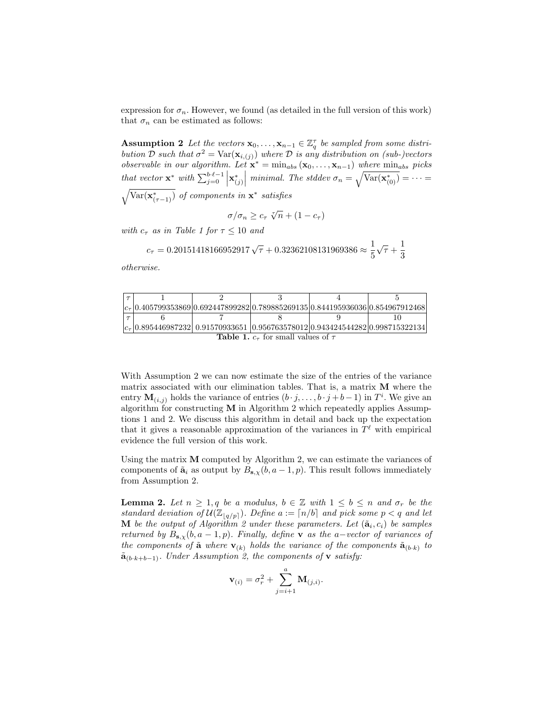expression for  $\sigma_n$ . However, we found (as detailed in the full version of this work) that  $\sigma_n$  can be estimated as follows:

Assumption 2 Let the vectors  $\mathbf{x}_0, \ldots, \mathbf{x}_{n-1} \in \mathbb{Z}_q^{\tau}$  be sampled from some distribution D such that  $\sigma^2 = \text{Var}(\mathbf{x}_{i,(j)})$  where D is any distribution on (sub-)vectors observable in our algorithm. Let  $\mathbf{x}^* = \min_{abs} (\mathbf{x}_0, \dots, \mathbf{x}_{n-1})$  where  $\min_{abs}$  picks that vector  $\mathbf{x}^*$  with  $\sum_{j=0}^{b \cdot \ell-1} \left| \mathbf{x}^*_{(j)} \right|$  minimal. The stddev  $\sigma_n = \sqrt{\text{Var}(\mathbf{x}^*_{(0)})} = \cdots =$  $\sqrt{\text{Var}(\mathbf{x}^*_{(\tau-1)})}$  of components in  $\mathbf{x}^*$  satisfies

$$
\sigma/\sigma_n \geq c_\tau \sqrt[n]{n} + (1 - c_\tau)
$$

with  $c_{\tau}$  as in Table 1 for  $\tau \leq 10$  and

$$
c_{\tau} = 0.20151418166952917\sqrt{\tau} + 0.32362108131969386 \approx \frac{1}{5}\sqrt{\tau} + \frac{1}{3}
$$

otherwise.

|  |                                            | $ c_{\tau} 0.405799353869 0.692447899282 0.789885269135 0.844195936036 0.854967912468 $ |  |
|--|--------------------------------------------|-----------------------------------------------------------------------------------------|--|
|  |                                            |                                                                                         |  |
|  |                                            | $ c_{\tau} $ 0.895446987232 0.91570933651 0.956763578012 0.943424544282 0.998715322134  |  |
|  | Table 1 $\alpha$ for small values of $\pi$ |                                                                                         |  |

#### **Table 1.**  $c_{\tau}$  for small values of  $\tau$

With Assumption 2 we can now estimate the size of the entries of the variance matrix associated with our elimination tables. That is, a matrix M where the entry  $\mathbf{M}_{(i,j)}$  holds the variance of entries  $(b \cdot j, \ldots, b \cdot j + b - 1)$  in  $T^i$ . We give an algorithm for constructing  $M$  in Algorithm 2 which repeatedly applies Assumptions 1 and 2. We discuss this algorithm in detail and back up the expectation that it gives a reasonable approximation of the variances in  $T^{\ell}$  with empirical evidence the full version of this work.

Using the matrix  $M$  computed by Algorithm 2, we can estimate the variances of components of  $\tilde{\mathbf{a}}_i$  as output by  $B_{\mathbf{s},\chi}(b,a-1,p)$ . This result follows immediately from Assumption 2.

**Lemma 2.** Let  $n \geq 1, q$  be a modulus,  $b \in \mathbb{Z}$  with  $1 \leq b \leq n$  and  $\sigma_r$  be the standard deviation of  $\mathcal{U}(\mathbb{Z}_{q/p})$ . Define  $a := \lceil n/b \rceil$  and pick some  $p < q$  and let **M** be the output of Algorithm 2 under these parameters. Let  $(\tilde{\mathbf{a}}_i, c_i)$  be samples returned by  $B_{s,x}(b, a-1, p)$ . Finally, define **v** as the a-vector of variances of the components of  $\tilde{\mathbf{a}}$  where  $\mathbf{v}_{(k)}$  holds the variance of the components  $\tilde{\mathbf{a}}_{(b \cdot k)}$  to  $\tilde{\mathbf{a}}_{(b \cdot k+b-1)}$ . Under Assumption 2, the components of **v** satisfy:

$$
\mathbf{v}_{(i)} = \sigma_r^2 + \sum_{j=i+1}^{a} \mathbf{M}_{(j,i)}.
$$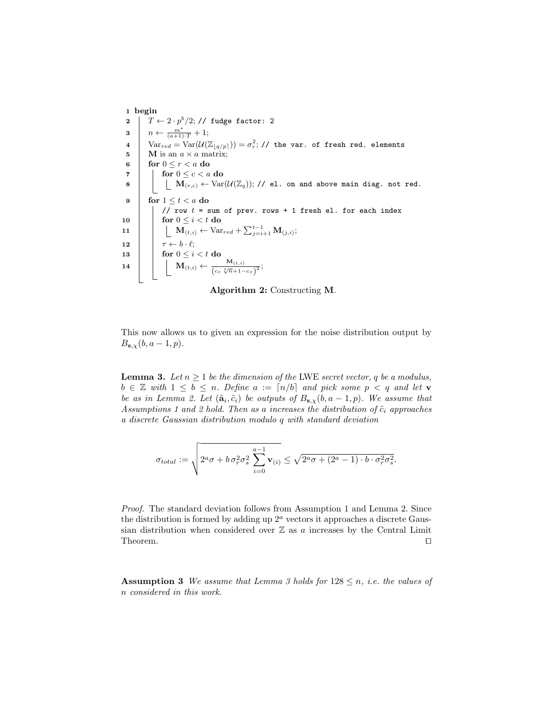1 begin  $\begin{array}{l} {\bf 2} \end{array} \left| {\begin{array}{*{20}{c}} {T \leftarrow {2 \cdot p^b}/{2}; \text{ // } {\text{fudge } factor: 2}} \right. \end{array}} \right.$  $\mathbf{3} \mid n \leftarrow \frac{m^*}{(a+1)\cdot T} + 1;$  $4\quad \big| \quad \text{Var}_{red} = \text{Var}(\mathcal{U}(\mathbb{Z}_{\lfloor q/p \rfloor})) = \sigma_r^2; \text{ // the var. of fresh red. elements}$ 5 M is an  $a \times a$  matrix; 6 for  $0 \leq r < a$  do  $\tau$  | for  $0 \leq c < a$  do  $\mathbf{8}$   $\vert$   $\vert$   $\vert$   $\mathbf{M}_{(r,c)} \leftarrow \text{Var}(\mathcal{U}(\mathbb{Z}_q));$  // el. on and above main diag. not red. 9 for  $1 \leq t < a$  do // row  $t =$  sum of prev. rows + 1 fresh el. for each index 10  $\vert$  for  $0 \leq i < t$  do 11  $\mathbf{M}_{(t,i)} \leftarrow \text{Var}_{red} + \sum_{j=i+1}^{t-1} \mathbf{M}_{(j,i)};$ 12  $\vert \tau \leftarrow b \cdot \ell;$ 13  $\vert$  for  $0 \leq i < t$  do 14 M $(t,i) \leftarrow \frac{M_{(t,i)}}{\sqrt{N_{(t,i)}}}$  $\frac{m_{(t,i)}}{(c_{\tau} \sqrt[n]{n}+1-c_{\tau})^2};$ 

Algorithm 2: Constructing M.

This now allows us to given an expression for the noise distribution output by  $B_{\mathbf{s},\chi}(b, a-1, p).$ 

**Lemma 3.** Let  $n \geq 1$  be the dimension of the LWE secret vector, q be a modulus,  $b \in \mathbb{Z}$  with  $1 \leq b \leq n$ . Define  $a := \lfloor n/b \rfloor$  and pick some  $p < q$  and let **v** be as in Lemma 2. Let  $(\tilde{\mathbf{a}}_i, \tilde{c}_i)$  be outputs of  $B_{\mathbf{s},\chi}(b, a-1, p)$ . We assume that Assumptions 1 and 2 hold. Then as a increases the distribution of  $\tilde{c}_i$  approaches a discrete Gaussian distribution modulo q with standard deviation

$$
\sigma_{total} := \sqrt{2^a \sigma + b \sigma_r^2 \sigma_s^2 \sum_{i=0}^{a-1} \mathbf{v}_{(i)}} \le \sqrt{2^a \sigma + (2^a - 1) \cdot b \cdot \sigma_r^2 \sigma_s^2}.
$$

Proof. The standard deviation follows from Assumption 1 and Lemma 2. Since the distribution is formed by adding up  $2<sup>a</sup>$  vectors it approaches a discrete Gaussian distribution when considered over  $\mathbb Z$  as a increases by the Central Limit Theorem.  $\Box$ 

**Assumption 3** We assume that Lemma 3 holds for  $128 \le n$ , *i.e.* the values of n considered in this work.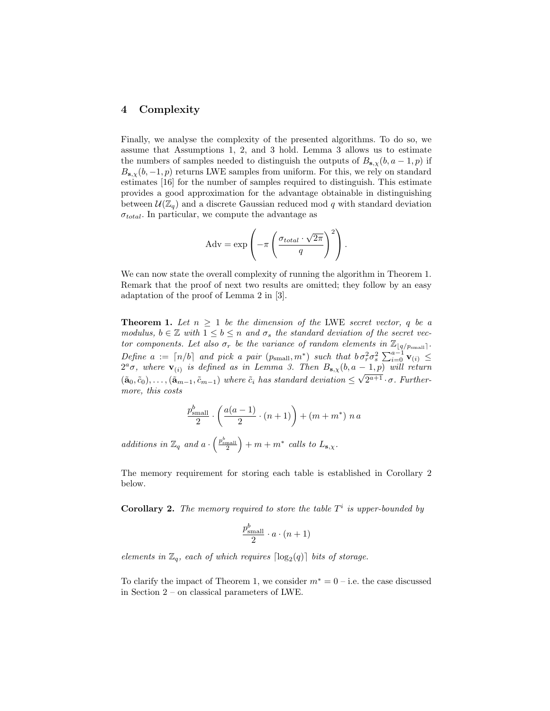# 4 Complexity

Finally, we analyse the complexity of the presented algorithms. To do so, we assume that Assumptions 1, 2, and 3 hold. Lemma 3 allows us to estimate the numbers of samples needed to distinguish the outputs of  $B_{s,y}(b, a-1, p)$  if  $B_{s,x}(b, -1, p)$  returns LWE samples from uniform. For this, we rely on standard estimates [16] for the number of samples required to distinguish. This estimate provides a good approximation for the advantage obtainable in distinguishing between  $\mathcal{U}(\mathbb{Z}_q)$  and a discrete Gaussian reduced mod q with standard deviation  $\sigma_{total}$ . In particular, we compute the advantage as

$$
Adv = \exp\left(-\pi \left(\frac{\sigma_{total} \cdot \sqrt{2\pi}}{q}\right)^2\right).
$$

We can now state the overall complexity of running the algorithm in Theorem 1. Remark that the proof of next two results are omitted; they follow by an easy adaptation of the proof of Lemma 2 in [3].

**Theorem 1.** Let  $n \geq 1$  be the dimension of the LWE secret vector, q be a modulus,  $b \in \mathbb{Z}$  with  $1 \leq b \leq n$  and  $\sigma_s$  the standard deviation of the secret vector components. Let also  $\sigma_r$  be the variance of random elements in  $\mathbb{Z}_{q/p_{\text{small}}}$ . Define  $a := \lceil n/b \rceil$  and pick a pair  $(p_{\text{small}}, m^*)$  such that  $b \sigma_r^2 \sigma_s^2 \sum_{i=0}^{a-1} \mathbf{v}_{(i)} \leq$  $2^a\sigma$ , where  $\mathbf{v}_{(i)}$  is defined as in Lemma 3. Then  $B_{\mathbf{s},\chi}(b,a-1,p)$  will return  $(\tilde{\mathbf{a}}_0, \tilde{c}_0), \ldots, (\tilde{\mathbf{a}}_{m-1}, \tilde{c}_{m-1})$  where  $\tilde{c}_i$  has standard deviation  $\leq \sqrt{2^{a+1} \cdot \sigma}$ . Furthermore, this costs

$$
\frac{p_{\text{small}}^b}{2} \cdot \left(\frac{a(a-1)}{2} \cdot (n+1)\right) + (m+m^*)\ n\ a
$$

additions in  $\mathbb{Z}_q$  and  $a \cdot \left(\frac{p_{\text{small}}^b}{2}\right) + m + m^*$  calls to  $L_{\mathbf{s}, \chi}$ .

The memory requirement for storing each table is established in Corollary 2 below.

**Corollary 2.** The memory required to store the table  $T^i$  is upper-bounded by

$$
\frac{p_{\text{small}}^b}{2} \cdot a \cdot (n+1)
$$

elements in  $\mathbb{Z}_q$ , each of which requires  $\lceil \log_2(q) \rceil$  bits of storage.

To clarify the impact of Theorem 1, we consider  $m^* = 0 - i.e.$  the case discussed in Section 2 – on classical parameters of LWE.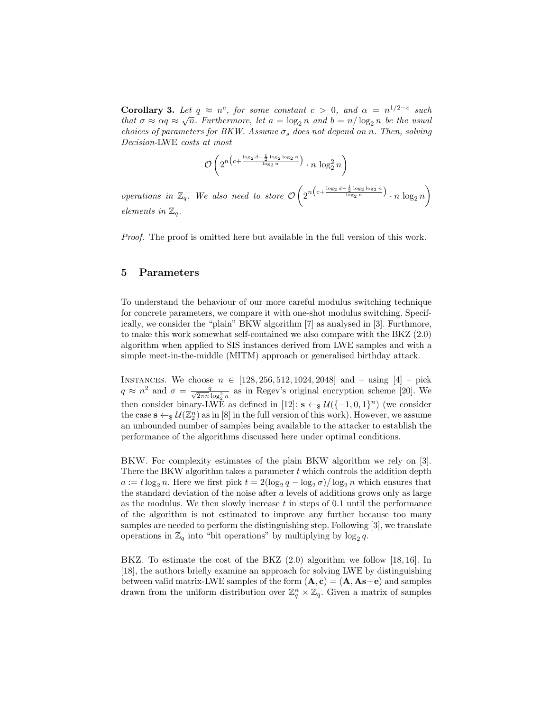**Corollary 3.** Let  $q \approx n^c$ , for some constant  $c > 0$ , and  $\alpha = n^{1/2-c}$  such that  $\sigma \approx \alpha q \approx \sqrt{n}$ . Furthermore, let  $a = \log_2 n$  and  $b = n/\log_2 n$  be the usual choices of parameters for BKW. Assume  $\sigma_s$  does not depend on n. Then, solving Decision-LWE costs at most

$$
\mathcal{O}\left(2^{n\left(c+\frac{\log_2 d - \frac{1}{2}\log_2\log_2 n}{\log_2 n}\right)} \cdot n \log_2^2 n\right)
$$

operations in  $\mathbb{Z}_q$ . We also need to store  $\mathcal{O}\left(2^{n\left(c+\frac{\log_2 d-\frac{1}{2}\log_2 \log_2 n}{\log_2 n}\right)}\cdot n \log_2 n\right)$ elements in  $\mathbb{Z}_q$ .

Proof. The proof is omitted here but available in the full version of this work.

### 5 Parameters

To understand the behaviour of our more careful modulus switching technique for concrete parameters, we compare it with one-shot modulus switching. Specifically, we consider the "plain" BKW algorithm [7] as analysed in [3]. Furthmore, to make this work somewhat self-contained we also compare with the BKZ (2.0) algorithm when applied to SIS instances derived from LWE samples and with a simple meet-in-the-middle (MITM) approach or generalised birthday attack.

INSTANCES. We choose  $n \in [128, 256, 512, 1024, 2048]$  and – using  $[4]$  – pick  $q \approx n^2$  and  $\sigma = \frac{q}{\sqrt{2\pi n \log_2^2 n}}$  as in Regev's original encryption scheme [20]. We then consider binary-LWE as defined in [12]:  $\mathbf{s} \leftarrow_{\$} \mathcal{U}(\{-1,0,1\}^n)$  (we consider the case  $s \leftarrow s \mathcal{U}(\mathbb{Z}_2^n)$  as in [8] in the full version of this work). However, we assume an unbounded number of samples being available to the attacker to establish the performance of the algorithms discussed here under optimal conditions.

BKW. For complexity estimates of the plain BKW algorithm we rely on [3]. There the BKW algorithm takes a parameter  $t$  which controls the addition depth  $a := t \log_2 n$ . Here we first pick  $t = 2(\log_2 q - \log_2 \sigma) / \log_2 n$  which ensures that the standard deviation of the noise after  $a$  levels of additions grows only as large as the modulus. We then slowly increase  $t$  in steps of 0.1 until the performance of the algorithm is not estimated to improve any further because too many samples are needed to perform the distinguishing step. Following [3], we translate operations in  $\mathbb{Z}_q$  into "bit operations" by multiplying by  $\log_2 q$ .

BKZ. To estimate the cost of the BKZ (2.0) algorithm we follow [18, 16]. In [18], the authors briefly examine an approach for solving LWE by distinguishing between valid matrix-LWE samples of the form  $(A, c) = (A, As +e)$  and samples drawn from the uniform distribution over  $\mathbb{Z}_q^n \times \mathbb{Z}_q$ . Given a matrix of samples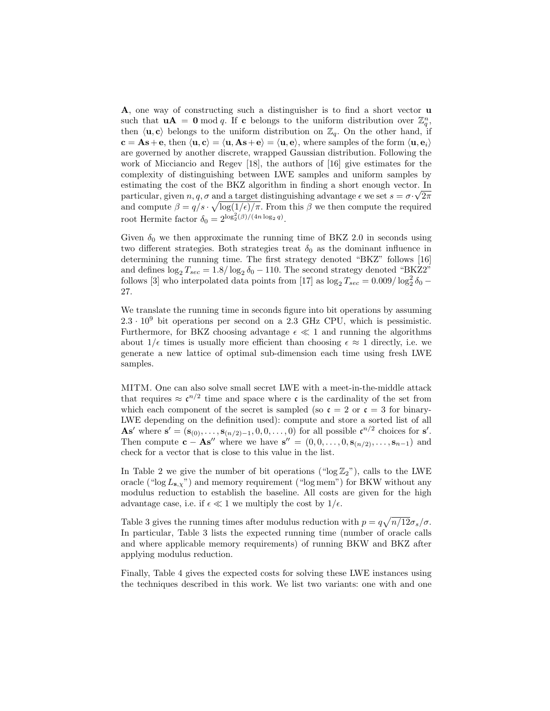A, one way of constructing such a distinguisher is to find a short vector u such that  $\mathbf{u}\mathbf{A} = \mathbf{0} \bmod q$ . If c belongs to the uniform distribution over  $\mathbb{Z}_q^n$ , then  $\langle \mathbf{u}, \mathbf{c} \rangle$  belongs to the uniform distribution on  $\mathbb{Z}_q$ . On the other hand, if  $c = As + e$ , then  $\langle u, c \rangle = \langle u, As + e \rangle = \langle u, e \rangle$ , where samples of the form  $\langle u, e_i \rangle$ are governed by another discrete, wrapped Gaussian distribution. Following the work of Micciancio and Regev [18], the authors of [16] give estimates for the complexity of distinguishing between LWE samples and uniform samples by estimating the cost of the BKZ algorithm in finding a short enough vector. In particular, given  $n, q, \sigma$  and a target distinguishing advantage  $\epsilon$  we set  $s = \sigma \cdot \sqrt{2\pi}$ and compute  $\beta = q/s \cdot \sqrt{\log(1/\epsilon)/\pi}$ . From this  $\beta$  we then compute the required root Hermite factor  $\delta_0 = 2^{\log_2^2(\beta)/(4n \log_2 q)}$ .

Given  $\delta_0$  we then approximate the running time of BKZ 2.0 in seconds using two different strategies. Both strategies treat  $\delta_0$  as the dominant influence in determining the running time. The first strategy denoted "BKZ" follows [16] and defines  $\log_2 T_{sec} = 1.8/\log_2 \delta_0 - 110$ . The second strategy denoted "BKZ2" follows [3] who interpolated data points from [17] as  $\log_2 T_{sec} = 0.009 / \log_2^2 \delta_0$  – 27.

We translate the running time in seconds figure into bit operations by assuming  $2.3 \cdot 10^9$  bit operations per second on a 2.3 GHz CPU, which is pessimistic. Furthermore, for BKZ choosing advantage  $\epsilon \ll 1$  and running the algorithms about  $1/\epsilon$  times is usually more efficient than choosing  $\epsilon \approx 1$  directly, i.e. we generate a new lattice of optimal sub-dimension each time using fresh LWE samples.

MITM. One can also solve small secret LWE with a meet-in-the-middle attack that requires  $\approx \mathfrak{c}^{n/2}$  time and space where  $\mathfrak{c}$  is the cardinality of the set from which each component of the secret is sampled (so  $\mathfrak{c} = 2$  or  $\mathfrak{c} = 3$  for binary-LWE depending on the definition used): compute and store a sorted list of all As' where  $\mathbf{s}' = (\mathbf{s}_{(0)}, \ldots, \mathbf{s}_{(n/2)-1}, 0, 0, \ldots, 0)$  for all possible  $\mathfrak{c}^{n/2}$  choices for  $\mathbf{s}'$ . Then compute  $\mathbf{c} - \mathbf{A}\mathbf{s}''$  where we have  $\mathbf{s}'' = (0, 0, \ldots, 0, \mathbf{s}_{(n/2)}, \ldots, \mathbf{s}_{n-1})$  and check for a vector that is close to this value in the list.

In Table 2 we give the number of bit operations (" $log Z_2$ "), calls to the LWE oracle (" $\log L_{s,x}$ ") and memory requirement (" $\log$  mem") for BKW without any modulus reduction to establish the baseline. All costs are given for the high advantage case, i.e. if  $\epsilon \ll 1$  we multiply the cost by  $1/\epsilon$ .

Table 3 gives the running times after modulus reduction with  $p = q\sqrt{n/12}\sigma_s/\sigma$ . In particular, Table 3 lists the expected running time (number of oracle calls and where applicable memory requirements) of running BKW and BKZ after applying modulus reduction.

Finally, Table 4 gives the expected costs for solving these LWE instances using the techniques described in this work. We list two variants: one with and one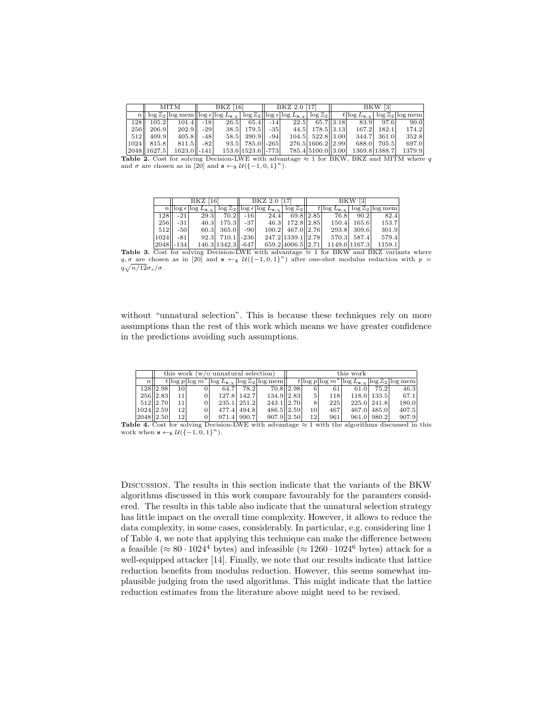|     | MITM            |                                                                                                                                                                                                                                            | BKZ [16] |  |                       | BKZ 2.0 [17]                   |                         | BKW [3] |  |               |        |
|-----|-----------------|--------------------------------------------------------------------------------------------------------------------------------------------------------------------------------------------------------------------------------------------|----------|--|-----------------------|--------------------------------|-------------------------|---------|--|---------------|--------|
|     |                 | $n  \log\mathbb{Z}_2 \log \text{mem}  \log \epsilon  \log L_{\mathbf{s},\gamma}  \log \mathbb{Z}_2  \log \epsilon  \log L_{\mathbf{s},\gamma}  \log \mathbb{Z}_2   \quad t  \log L_{\mathbf{s},\gamma}  \log \mathbb{Z}_2 \log \text{mem}$ |          |  |                       |                                |                         |         |  |               |        |
|     | $128$   $105.2$ | $101.4$    -18                                                                                                                                                                                                                             |          |  |                       | $26.5$ 65.4 -14 22.5 65.7 3.18 |                         |         |  | 83.9 97.6     | 90.0   |
| 256 | 206.9           | $202.9$    -29                                                                                                                                                                                                                             |          |  | 38.5 179.5 - 35       |                                | 44.5 178.5 3.13         |         |  | 167.2 182.1   | 174.2  |
|     | $ 512 $ 409.9   | $405.8$    $-48$                                                                                                                                                                                                                           |          |  | $58.5$ 390.9 $-94$    |                                | 104.5 522.8 3.00        |         |  | 344.7 361.0   | 352.8  |
|     | $ 1024 $ 815.8  | $811.5$    -82                                                                                                                                                                                                                             |          |  | $93.5$ 785.0 - 265    |                                | 276.5   1606.2     2.99 |         |  | 688.0 705.5   | 697.0  |
|     | 2048   1627.5   | $1623.0$   -141                                                                                                                                                                                                                            |          |  | $153.6 1523.6 $ - 773 |                                | 785.4 5100.0 3.00       |         |  | 1369.8 1388.7 | 1379.9 |

**Table 2.** Cost for solving Decision-LWE with advantage  $\approx$  1 for BKW, BKZ and MITM where q and  $\sigma$  are chosen as in [20] and  $\mathbf{s} \leftarrow \mathbf{s} \mathcal{U}({-1, 0, 1}^n)$ .

|       |                 | BKZ [16] |                     | BKZ 2.0 [17]                                      |                   | BKW [3] |               |               |                                                                                                                                                                                                          |  |
|-------|-----------------|----------|---------------------|---------------------------------------------------|-------------------|---------|---------------|---------------|----------------------------------------------------------------------------------------------------------------------------------------------------------------------------------------------------------|--|
|       |                 |          |                     |                                                   |                   |         |               |               | $n  \log \epsilon  \log L_{\mathbf{s},\chi}  \log \mathbb{Z}_2  \log \epsilon  \log L_{\mathbf{s},\chi}  \log \mathbb{Z}_2   \quad t \log L_{\mathbf{s},\chi}  \log \mathbb{Z}_2 \log \mathop{\rm mem} $ |  |
|       | 128 - 21        |          |                     | 29.3 $\mid$ 70.2 $\mid$ -16 $\mid$ 24.4 69.8 2.85 |                   |         |               | 76.8 90.2     | 82.4                                                                                                                                                                                                     |  |
| 256II | $-31$           |          | 40.3 175.3 - 37     |                                                   | 46.3 172.8 2.85   |         |               | $150.4$ 165.6 | 153.7                                                                                                                                                                                                    |  |
| 512   | $-50$           |          | $60.3$ 365.0 $-90$  |                                                   | 100.2 467.0 2.76  |         |               | 293.8 309.6   | 301.9                                                                                                                                                                                                    |  |
|       | $1024$    -81   |          | $92.3$ 710.1 - 236  |                                                   | 247.2 1339.1 2.78 |         |               | 570.3 587.4   | 579.4                                                                                                                                                                                                    |  |
|       | $ 2048  - 134 $ |          | 146.3 1342.3   -647 |                                                   | 659.2 4006.5 2.71 |         | 1149.0 1167.3 |               | 1159.1                                                                                                                                                                                                   |  |

**Table 3.** Cost for solving Decision-LWE with advantage  $\approx 1$  for BKW and BKZ variants where  $q, \sigma$  are chosen as in [20] and  $s \leftarrow s$   $\mathcal{U}(\{-1, 0, 1\}^n)$  after one-shot modulus reduction with  $p =$  $q\sqrt{n/12}\sigma_s/\sigma.$ 

without "unnatural selection". This is because these techniques rely on more assumptions than the rest of this work which means we have greater confidence in the predictions avoiding such assumptions.

|                 |               |                 | this work $(w/\sigma)$ unnatural selection |               |                                                                                      | this work |     |            |      |             |                                                                              |
|-----------------|---------------|-----------------|--------------------------------------------|---------------|--------------------------------------------------------------------------------------|-----------|-----|------------|------|-------------|------------------------------------------------------------------------------|
| $n_{\parallel}$ |               |                 |                                            |               | $t \log p \log m^* \log L_{\mathbf{s},\gamma} \log \mathbb{Z}_2 \log \mathbf{mem}  $ |           |     |            |      |             | $t\log p\log m^* \log L_{\mathbf{s},\chi} \log \mathbb{Z}_2 \log \text{mem}$ |
|                 | 128 2.98      | 10              | 64.7                                       | 78.2          | 70.8 2.98                                                                            |           |     | 61         | 61.0 | 75.2        | 46.3                                                                         |
|                 | 256 2.83      | 11              |                                            | 127.8   142.7 | $134.9$   2.83                                                                       |           | 5'  | <b>118</b> |      | 118.0 133.5 | 67.1                                                                         |
|                 | 512 2.70      | 11              |                                            | 235.1 251.2   | 243.1 2.70                                                                           |           |     | 225        |      | 225.0 241.8 | 180.0                                                                        |
|                 | $1024$   2.59 | 12 <sup>1</sup> |                                            | 477.4 494.8   | 486.5 2.59                                                                           |           | 10  | 467        |      | 467.0 485.0 | 407.5                                                                        |
|                 | 2048   2.50   | 12 <sup>1</sup> |                                            | 971.4 990.7   | 907.9  2.50                                                                          |           | 121 | 961        |      | 961.0 980.2 | 907.9                                                                        |

**Table 4.** Cost for solving Decision-LWE with advantage  $\approx$  1 with the algorithms discussed in this work when  $\mathbf{s} \leftarrow \mathbf{s} \mathcal{U}(\{-1, 0, 1\}^n)$ .

Discussion. The results in this section indicate that the variants of the BKW algorithms discussed in this work compare favourably for the paramters considered. The results in this table also indicate that the unnatural selection strategy has little impact on the overall time complexity. However, it allows to reduce the data complexity, in some cases, considerably. In particular, e.g. considering line 1 of Table 4, we note that applying this technique can make the difference between a feasible ( $\approx 80 \cdot 1024^4$  bytes) and infeasible ( $\approx 1260 \cdot 1024^6$  bytes) attack for a well-equipped attacker [14]. Finally, we note that our results indicate that lattice reduction benefits from modulus reduction. However, this seems somewhat implausible judging from the used algorithms. This might indicate that the lattice reduction estimates from the literature above might need to be revised.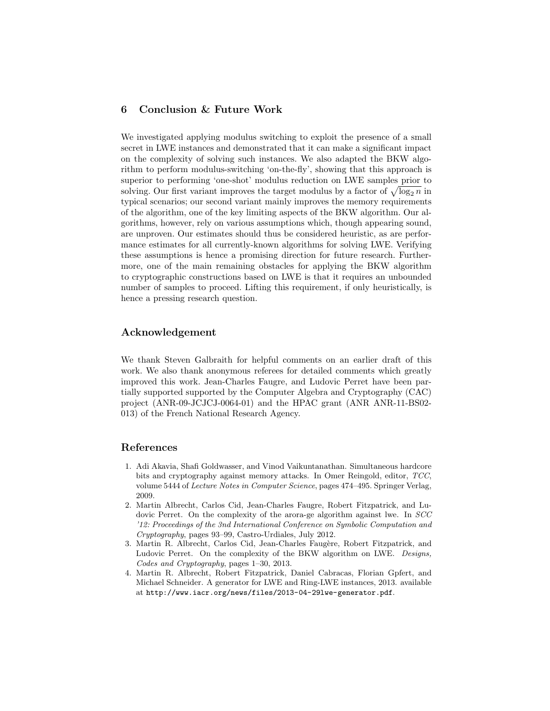# 6 Conclusion & Future Work

We investigated applying modulus switching to exploit the presence of a small secret in LWE instances and demonstrated that it can make a significant impact on the complexity of solving such instances. We also adapted the BKW algorithm to perform modulus-switching 'on-the-fly', showing that this approach is superior to performing 'one-shot' modulus reduction on LWE samples prior to solving. Our first variant improves the target modulus by a factor of  $\sqrt{\log_2 n}$  in typical scenarios; our second variant mainly improves the memory requirements of the algorithm, one of the key limiting aspects of the BKW algorithm. Our algorithms, however, rely on various assumptions which, though appearing sound, are unproven. Our estimates should thus be considered heuristic, as are performance estimates for all currently-known algorithms for solving LWE. Verifying these assumptions is hence a promising direction for future research. Furthermore, one of the main remaining obstacles for applying the BKW algorithm to cryptographic constructions based on LWE is that it requires an unbounded number of samples to proceed. Lifting this requirement, if only heuristically, is hence a pressing research question.

## Acknowledgement

We thank Steven Galbraith for helpful comments on an earlier draft of this work. We also thank anonymous referees for detailed comments which greatly improved this work. Jean-Charles Faugre, and Ludovic Perret have been partially supported supported by the Computer Algebra and Cryptography (CAC) project (ANR-09-JCJCJ-0064-01) and the HPAC grant (ANR ANR-11-BS02- 013) of the French National Research Agency.

#### References

- 1. Adi Akavia, Shafi Goldwasser, and Vinod Vaikuntanathan. Simultaneous hardcore bits and cryptography against memory attacks. In Omer Reingold, editor, TCC, volume 5444 of Lecture Notes in Computer Science, pages 474–495. Springer Verlag, 2009.
- 2. Martin Albrecht, Carlos Cid, Jean-Charles Faugre, Robert Fitzpatrick, and Ludovic Perret. On the complexity of the arora-ge algorithm against lwe. In SCC '12: Proceedings of the 3nd International Conference on Symbolic Computation and Cryptography, pages 93–99, Castro-Urdiales, July 2012.
- 3. Martin R. Albrecht, Carlos Cid, Jean-Charles Faugère, Robert Fitzpatrick, and Ludovic Perret. On the complexity of the BKW algorithm on LWE. Designs, Codes and Cryptography, pages 1–30, 2013.
- 4. Martin R. Albrecht, Robert Fitzpatrick, Daniel Cabracas, Florian Gpfert, and Michael Schneider. A generator for LWE and Ring-LWE instances, 2013. available at http://www.iacr.org/news/files/2013-04-29lwe-generator.pdf.